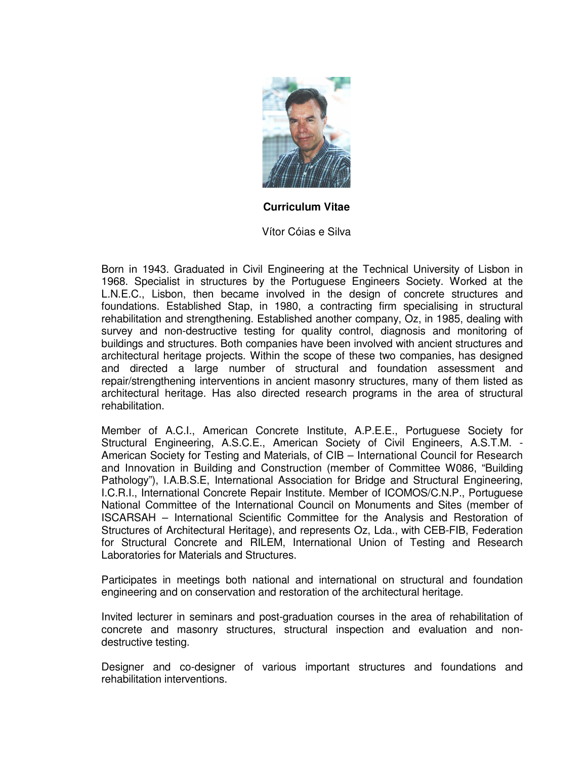

**Curriculum Vitae**

Vítor Cóias e Silva

Born in 1943. Graduated in Civil Engineering at the Technical University of Lisbon in 1968. Specialist in structures by the Portuguese Engineers Society. Worked at the L.N.E.C., Lisbon, then became involved in the design of concrete structures and foundations. Established Stap, in 1980, a contracting firm specialising in structural rehabilitation and strengthening. Established another company, Oz, in 1985, dealing with survey and non-destructive testing for quality control, diagnosis and monitoring of buildings and structures. Both companies have been involved with ancient structures and architectural heritage projects. Within the scope of these two companies, has designed and directed a large number of structural and foundation assessment and repair/strengthening interventions in ancient masonry structures, many of them listed as architectural heritage. Has also directed research programs in the area of structural rehabilitation.

Member of A.C.I., American Concrete Institute, A.P.E.E., Portuguese Society for Structural Engineering, A.S.C.E., American Society of Civil Engineers, A.S.T.M. - American Society for Testing and Materials, of CIB – International Council for Research and Innovation in Building and Construction (member of Committee W086, "Building Pathology"), I.A.B.S.E, International Association for Bridge and Structural Engineering, I.C.R.I., International Concrete Repair Institute. Member of ICOMOS/C.N.P., Portuguese National Committee of the International Council on Monuments and Sites (member of ISCARSAH – International Scientific Committee for the Analysis and Restoration of Structures of Architectural Heritage), and represents Oz, Lda., with CEB-FIB, Federation for Structural Concrete and RILEM, International Union of Testing and Research Laboratories for Materials and Structures.

Participates in meetings both national and international on structural and foundation engineering and on conservation and restoration of the architectural heritage.

Invited lecturer in seminars and post-graduation courses in the area of rehabilitation of concrete and masonry structures, structural inspection and evaluation and nondestructive testing.

Designer and co-designer of various important structures and foundations and rehabilitation interventions.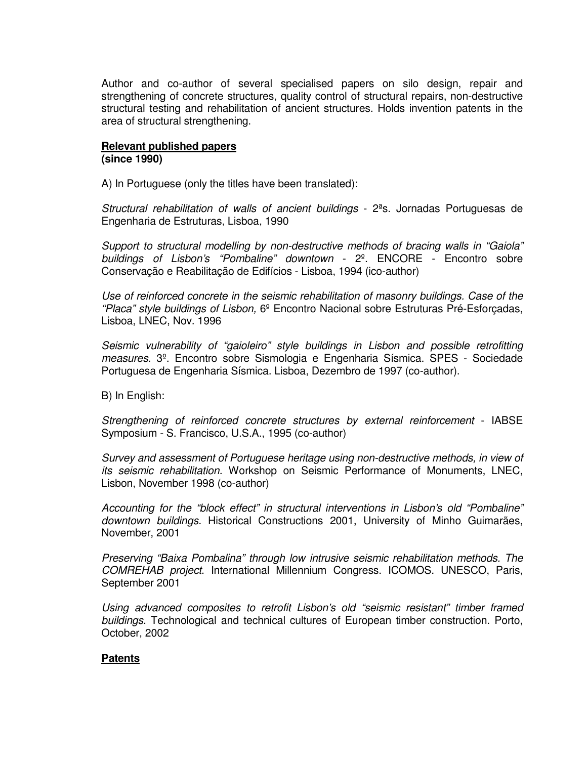Author and co-author of several specialised papers on silo design, repair and strengthening of concrete structures, quality control of structural repairs, non-destructive structural testing and rehabilitation of ancient structures. Holds invention patents in the area of structural strengthening.

## **Relevant published papers (since 1990)**

A) In Portuguese (only the titles have been translated):

Structural rehabilitation of walls of ancient buildings - 2ªs. Jornadas Portuguesas de Engenharia de Estruturas, Lisboa, 1990

Support to structural modelling by non-destructive methods of bracing walls in "Gaiola" buildings of Lisbon's "Pombaline" downtown - 2º. ENCORE - Encontro sobre Conservação e Reabilitação de Edifícios - Lisboa, 1994 (ico-author)

Use of reinforced concrete in the seismic rehabilitation of masonry buildings. Case of the "Placa" style buildings of Lisbon, 6º Encontro Nacional sobre Estruturas Pré-Esforçadas, Lisboa, LNEC, Nov. 1996

Seismic vulnerability of "gaioleiro" style buildings in Lisbon and possible retrofitting measures. 3º. Encontro sobre Sismologia e Engenharia Sísmica. SPES - Sociedade Portuguesa de Engenharia Sísmica. Lisboa, Dezembro de 1997 (co-author).

B) In English:

Strengthening of reinforced concrete structures by external reinforcement - IABSE Symposium - S. Francisco, U.S.A., 1995 (co-author)

Survey and assessment of Portuguese heritage using non-destructive methods, in view of its seismic rehabilitation. Workshop on Seismic Performance of Monuments, LNEC, Lisbon, November 1998 (co-author)

Accounting for the "block effect" in structural interventions in Lisbon's old "Pombaline" downtown buildings. Historical Constructions 2001, University of Minho Guimarães, November, 2001

Preserving "Baixa Pombalina" through low intrusive seismic rehabilitation methods. The COMREHAB project. International Millennium Congress. ICOMOS. UNESCO, Paris, September 2001

Using advanced composites to retrofit Lisbon's old "seismic resistant" timber framed buildings. Technological and technical cultures of European timber construction. Porto, October, 2002

## **Patents**